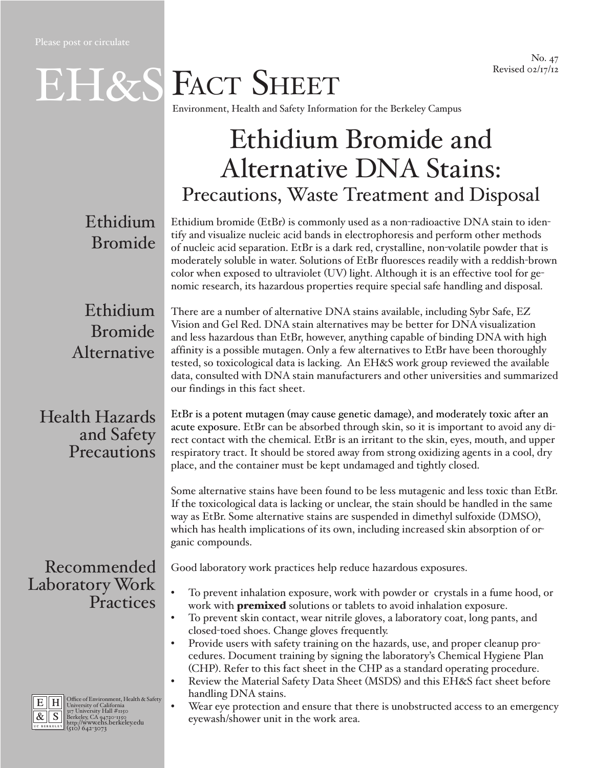No. 47 Revised 02/17/12

EH&S FACT SHEET

Environment, Health and Safety Information for the Berkeley Campus

# Ethidium Bromide and Alternative DNA Stains: Precautions, Waste Treatment and Disposal

Ethidium Bromide

Ethidium bromide (EtBr) is commonly used as a non-radioactive DNA stain to identify and visualize nucleic acid bands in electrophoresis and perform other methods of nucleic acid separation. EtBr is a dark red, crystalline, non-volatile powder that is moderately soluble in water. Solutions of EtBr fluoresces readily with a reddish-brown color when exposed to ultraviolet (UV) light. Although it is an effective tool for genomic research, its hazardous properties require special safe handling and disposal.

# Ethidium Bromide Alternative

There are a number of alternative DNA stains available, including Sybr Safe, EZ Vision and Gel Red. DNA stain alternatives may be better for DNA visualization and less hazardous than EtBr, however, anything capable of binding DNA with high affinity is a possible mutagen. Only a few alternatives to EtBr have been thoroughly tested, so toxicological data is lacking. An EH&S work group reviewed the available data, consulted with DNA stain manufacturers and other universities and summarized our findings in this fact sheet.

### Health Hazards and Safety **Precautions**

Recommended Laboratory Work **Practices** 



E H Office of Environment, Health & Safety<br>  $\frac{R}{\mathcal{R}}$  S Berkeley, CA 94720-1150<br> **BERKELEY, CA 94720-1150**<br> **BERKELEY, CA 94720-1150**<br> **BERKELEY (510) 642-3073** 

EtBr is a potent mutagen (may cause genetic damage), and moderately toxic after an acute exposure. EtBr can be absorbed through skin, so it is important to avoid any direct contact with the chemical. EtBr is an irritant to the skin, eyes, mouth, and upper respiratory tract. It should be stored away from strong oxidizing agents in a cool, dry place, and the container must be kept undamaged and tightly closed.

Some alternative stains have been found to be less mutagenic and less toxic than EtBr. If the toxicological data is lacking or unclear, the stain should be handled in the same way as EtBr. Some alternative stains are suspended in dimethyl sulfoxide (DMSO), which has health implications of its own, including increased skin absorption of organic compounds.

Good laboratory work practices help reduce hazardous exposures.

- To prevent inhalation exposure, work with powder or crystals in a fume hood, or work with **premixed** solutions or tablets to avoid inhalation exposure.
- To prevent skin contact, wear nitrile gloves, a laboratory coat, long pants, and closed-toed shoes. Change gloves frequently.
- Provide users with safety training on the hazards, use, and proper cleanup procedures. Document training by signing the laboratory's Chemical Hygiene Plan (CHP). Refer to this fact sheet in the CHP as a standard operating procedure.
- Review the Material Safety Data Sheet (MSDS) and this EH&S fact sheet before handling DNA stains.
- Wear eye protection and ensure that there is unobstructed access to an emergency eyewash/shower unit in the work area.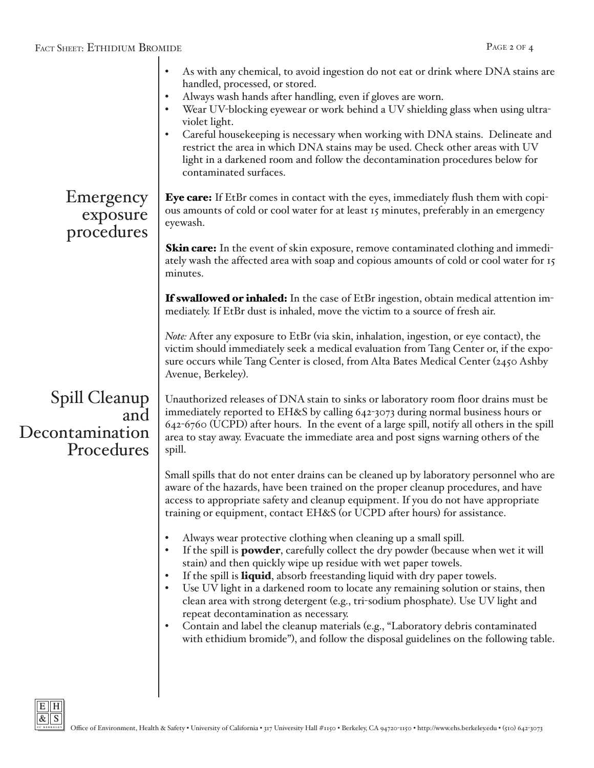| As with any chemical, to avoid ingestion do not eat or drink where DNA stains are<br>$\bullet$<br>handled, processed, or stored.<br>Always wash hands after handling, even if gloves are worn.<br>$\bullet$<br>Wear UV-blocking eyewear or work behind a UV shielding glass when using ultra-<br>$\bullet$<br>violet light.<br>Careful housekeeping is necessary when working with DNA stains. Delineate and<br>$\bullet$<br>restrict the area in which DNA stains may be used. Check other areas with UV<br>light in a darkened room and follow the decontamination procedures below for<br>contaminated surfaces.                                                                                                                                              |
|------------------------------------------------------------------------------------------------------------------------------------------------------------------------------------------------------------------------------------------------------------------------------------------------------------------------------------------------------------------------------------------------------------------------------------------------------------------------------------------------------------------------------------------------------------------------------------------------------------------------------------------------------------------------------------------------------------------------------------------------------------------|
| <b>Eye care:</b> If EtBr comes in contact with the eyes, immediately flush them with copi-<br>ous amounts of cold or cool water for at least 15 minutes, preferably in an emergency<br>eyewash.                                                                                                                                                                                                                                                                                                                                                                                                                                                                                                                                                                  |
| <b>Skin care:</b> In the event of skin exposure, remove contaminated clothing and immedi-<br>ately wash the affected area with soap and copious amounts of cold or cool water for 15<br>minutes.                                                                                                                                                                                                                                                                                                                                                                                                                                                                                                                                                                 |
| <b>If swallowed or inhaled:</b> In the case of EtBr ingestion, obtain medical attention im-<br>mediately. If EtBr dust is inhaled, move the victim to a source of fresh air.                                                                                                                                                                                                                                                                                                                                                                                                                                                                                                                                                                                     |
| Note: After any exposure to EtBr (via skin, inhalation, ingestion, or eye contact), the<br>victim should immediately seek a medical evaluation from Tang Center or, if the expo-<br>sure occurs while Tang Center is closed, from Alta Bates Medical Center (2450 Ashby<br>Avenue, Berkeley).                                                                                                                                                                                                                                                                                                                                                                                                                                                                    |
| Unauthorized releases of DNA stain to sinks or laboratory room floor drains must be<br>immediately reported to EH&S by calling 642-3073 during normal business hours or<br>642-6760 (UCPD) after hours. In the event of a large spill, notify all others in the spill<br>area to stay away. Evacuate the immediate area and post signs warning others of the<br>spill.                                                                                                                                                                                                                                                                                                                                                                                           |
| Small spills that do not enter drains can be cleaned up by laboratory personnel who are<br>aware of the hazards, have been trained on the proper cleanup procedures, and have<br>access to appropriate safety and cleanup equipment. If you do not have appropriate<br>training or equipment, contact EH&S (or UCPD after hours) for assistance.                                                                                                                                                                                                                                                                                                                                                                                                                 |
| Always wear protective clothing when cleaning up a small spill.<br>$\bullet$<br>If the spill is <b>powder</b> , carefully collect the dry powder (because when wet it will<br>$\bullet$<br>stain) and then quickly wipe up residue with wet paper towels.<br>If the spill is <b>liquid</b> , absorb freestanding liquid with dry paper towels.<br>$\bullet$<br>Use UV light in a darkened room to locate any remaining solution or stains, then<br>clean area with strong detergent (e.g., tri-sodium phosphate). Use UV light and<br>repeat decontamination as necessary.<br>Contain and label the cleanup materials (e.g., "Laboratory debris contaminated<br>$\bullet$<br>with ethidium bromide"), and follow the disposal guidelines on the following table. |
|                                                                                                                                                                                                                                                                                                                                                                                                                                                                                                                                                                                                                                                                                                                                                                  |

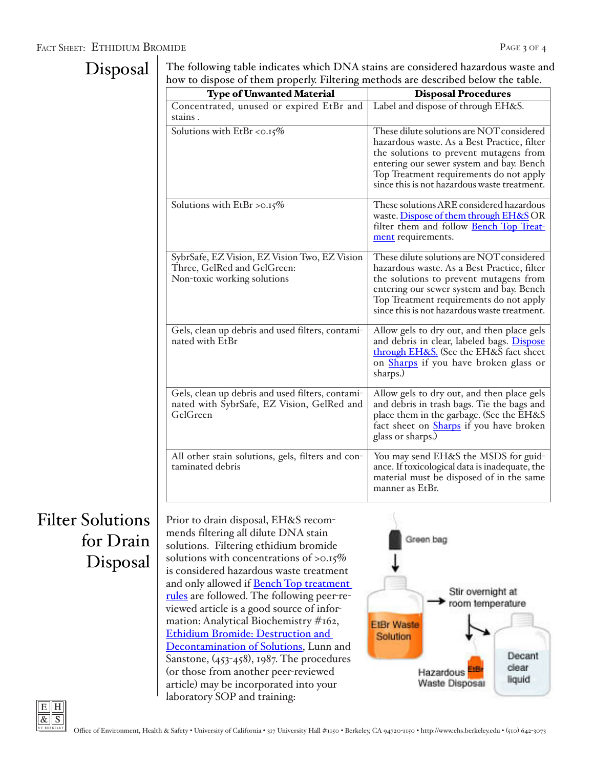#### FACT SHEET: ETHIDIUM BROMIDE PAGE 3 OF 4

### Disposal

The following table indicates which DNA stains are considered hazardous waste and how to dispose of them properly. Filtering methods are described below the table.

| <b>Type of Unwanted Material</b>                                                                            | <b>Disposal Procedures</b>                                                                                                                                                                                                                                                |
|-------------------------------------------------------------------------------------------------------------|---------------------------------------------------------------------------------------------------------------------------------------------------------------------------------------------------------------------------------------------------------------------------|
| Concentrated, unused or expired EtBr and<br>stains.                                                         | Label and dispose of through EH&S.                                                                                                                                                                                                                                        |
| Solutions with EtBr <0.15%                                                                                  | These dilute solutions are NOT considered<br>hazardous waste. As a Best Practice, filter<br>the solutions to prevent mutagens from<br>entering our sewer system and bay. Bench<br>Top Treatment requirements do not apply<br>since this is not hazardous waste treatment. |
| Solutions with EtBr >0.15%                                                                                  | These solutions ARE considered hazardous<br>waste. Dispose of them through EH&S OR<br>filter them and follow Bench Top Treat-<br>ment requirements.                                                                                                                       |
| SybrSafe, EZ Vision, EZ Vision Two, EZ Vision<br>Three, GelRed and GelGreen:<br>Non-toxic working solutions | These dilute solutions are NOT considered<br>hazardous waste. As a Best Practice, filter<br>the solutions to prevent mutagens from<br>entering our sewer system and bay. Bench<br>Top Treatment requirements do not apply<br>since this is not hazardous waste treatment. |
| Gels, clean up debris and used filters, contami-<br>nated with EtBr                                         | Allow gels to dry out, and then place gels<br>and debris in clear, labeled bags. Dispose<br>through EH&S. (See the EH&S fact sheet<br>on <b>Sharps</b> if you have broken glass or<br>sharps.)                                                                            |
| Gels, clean up debris and used filters, contami-<br>nated with SybrSafe, EZ Vision, GelRed and<br>GelGreen  | Allow gels to dry out, and then place gels<br>and debris in trash bags. Tie the bags and<br>place them in the garbage. (See the EH&S<br>fact sheet on <b>Sharps</b> if you have broken<br>glass or sharps.)                                                               |
| All other stain solutions, gels, filters and con-<br>taminated debris                                       | You may send EH&S the MSDS for guid-<br>ance. If toxicological data is inadequate, the<br>material must be disposed of in the same<br>manner as EtBr.                                                                                                                     |

## Filter Solutions for Drain Disposal

Prior to drain disposal, EH&S recommends filtering all dilute DNA stain solutions. Filtering ethidium bromide solutions with concentrations of >0.15% is considered hazardous waste treatment and only allowed if [Bench Top treatment](http://ehs.berkeley.edu/images/ehs/pubs/50benchtop.pdf)  [rules](http://ehs.berkeley.edu/images/ehs/pubs/50benchtop.pdf) are followed. The following peer-reviewed article is a good source of information: Analytical Biochemistry #162, [Ethidium Bromide: Destruction and](http://www.sciencedirect.com/science/article/pii/0003269787904192)  [Decontamination of Solutions,](http://www.sciencedirect.com/science/article/pii/0003269787904192) Lunn and Sanstone, (453-458), 1987. The procedures (or those from another peer-reviewed article) may be incorporated into your laboratory SOP and training: